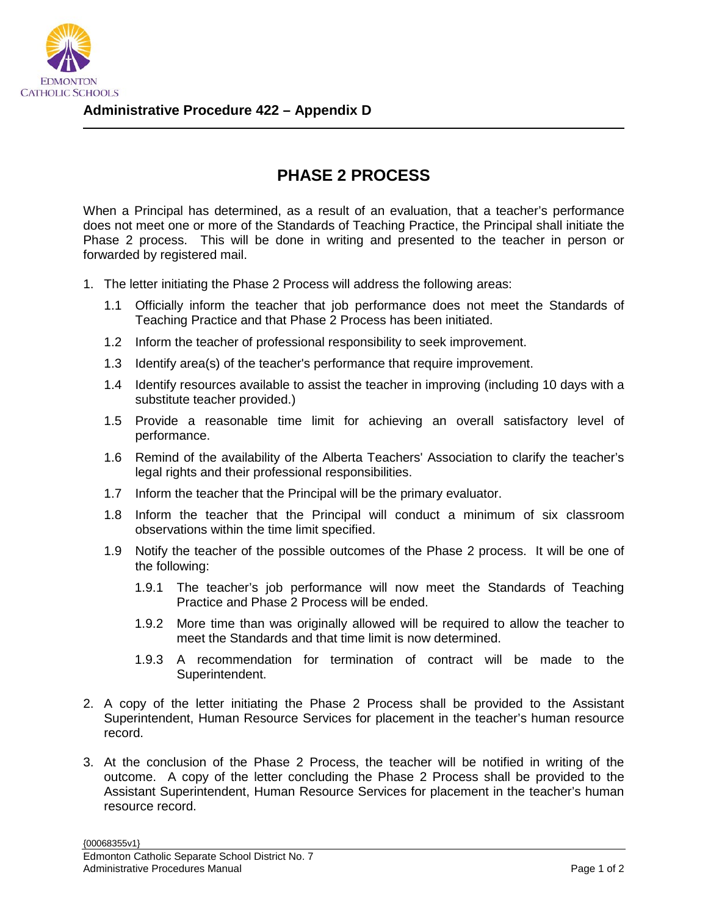

## **PHASE 2 PROCESS**

When a Principal has determined, as a result of an evaluation, that a teacher's performance does not meet one or more of the Standards of Teaching Practice, the Principal shall initiate the Phase 2 process. This will be done in writing and presented to the teacher in person or forwarded by registered mail.

- 1. The letter initiating the Phase 2 Process will address the following areas:
	- 1.1 Officially inform the teacher that job performance does not meet the Standards of Teaching Practice and that Phase 2 Process has been initiated.
	- 1.2 Inform the teacher of professional responsibility to seek improvement.
	- 1.3 Identify area(s) of the teacher's performance that require improvement.
	- 1.4 Identify resources available to assist the teacher in improving (including 10 days with a substitute teacher provided.)
	- 1.5 Provide a reasonable time limit for achieving an overall satisfactory level of performance.
	- 1.6 Remind of the availability of the Alberta Teachers' Association to clarify the teacher's legal rights and their professional responsibilities.
	- 1.7 Inform the teacher that the Principal will be the primary evaluator.
	- 1.8 Inform the teacher that the Principal will conduct a minimum of six classroom observations within the time limit specified.
	- 1.9 Notify the teacher of the possible outcomes of the Phase 2 process. It will be one of the following:
		- 1.9.1 The teacher's job performance will now meet the Standards of Teaching Practice and Phase 2 Process will be ended.
		- 1.9.2 More time than was originally allowed will be required to allow the teacher to meet the Standards and that time limit is now determined.
		- 1.9.3 A recommendation for termination of contract will be made to the Superintendent.
- 2. A copy of the letter initiating the Phase 2 Process shall be provided to the Assistant Superintendent, Human Resource Services for placement in the teacher's human resource record.
- 3. At the conclusion of the Phase 2 Process, the teacher will be notified in writing of the outcome. A copy of the letter concluding the Phase 2 Process shall be provided to the Assistant Superintendent, Human Resource Services for placement in the teacher's human resource record.

{00068355v1}